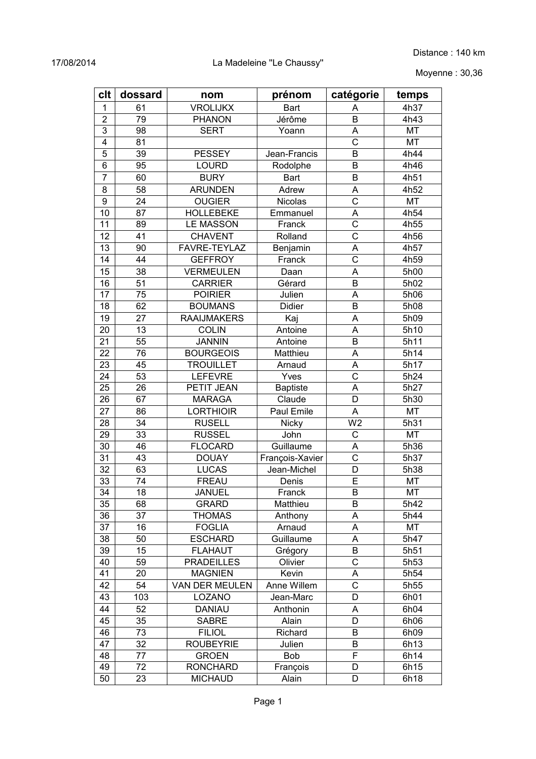Moyenne : 30,36

| clt                     | dossard | nom                | prénom          | catégorie               | temps     |
|-------------------------|---------|--------------------|-----------------|-------------------------|-----------|
| 1                       | 61      | <b>VROLIJKX</b>    | Bart            | Α                       | 4h37      |
| $\overline{2}$          | 79      | <b>PHANON</b>      | Jérôme          | B                       | 4h43      |
| 3                       | 98      | <b>SERT</b>        | Yoann           | A                       | MT        |
| $\overline{\mathbf{4}}$ | 81      |                    |                 | $\overline{\text{c}}$   | <b>MT</b> |
| 5                       | 39      | <b>PESSEY</b>      | Jean-Francis    | B                       | 4h44      |
| 6                       | 95      | <b>LOURD</b>       | Rodolphe        | B                       | 4h46      |
| $\overline{7}$          | 60      | <b>BURY</b>        | <b>Bart</b>     | B                       | 4h51      |
| 8                       | 58      | <b>ARUNDEN</b>     | Adrew           | A                       | 4h52      |
| 9                       | 24      | <b>OUGIER</b>      | Nicolas         | C                       | MT        |
| 10                      | 87      | <b>HOLLEBEKE</b>   | Emmanuel        | A                       | 4h54      |
| 11                      | 89      | <b>LE MASSON</b>   | Franck          | $\overline{C}$          | 4h55      |
| 12                      | 41      | <b>CHAVENT</b>     | Rolland         | $\mathsf{C}$            | 4h56      |
| 13                      | 90      | FAVRE-TEYLAZ       | Benjamin        | A                       | 4h57      |
| 14                      | 44      | <b>GEFFROY</b>     | Franck          | $\overline{\mathrm{c}}$ | 4h59      |
| 15                      | 38      | <b>VERMEULEN</b>   | Daan            | A                       | 5h00      |
| 16                      | 51      | <b>CARRIER</b>     | Gérard          | B                       | 5h02      |
| 17                      | 75      | <b>POIRIER</b>     | Julien          | A                       | 5h06      |
| 18                      | 62      | <b>BOUMANS</b>     | Didier          | B                       | 5h08      |
| 19                      | 27      | <b>RAAIJMAKERS</b> | Kaj             | A                       | 5h09      |
| 20                      | 13      | <b>COLIN</b>       | Antoine         | A                       | 5h10      |
| 21                      | 55      | <b>JANNIN</b>      | Antoine         | B                       | 5h11      |
| 22                      | 76      | <b>BOURGEOIS</b>   | Matthieu        | A                       | 5h14      |
| 23                      | 45      | <b>TROUILLET</b>   | Arnaud          | A                       | 5h17      |
| 24                      | 53      | <b>LEFEVRE</b>     | Yves            | $\overline{\text{c}}$   | 5h24      |
| 25                      | 26      | PETIT JEAN         | <b>Baptiste</b> | A                       | 5h27      |
| 26                      | 67      | <b>MARAGA</b>      | Claude          | D                       | 5h30      |
| 27                      | 86      | <b>LORTHIOIR</b>   | Paul Emile      | A                       | MT        |
| 28                      | 34      | <b>RUSELL</b>      | Nicky           | W <sub>2</sub>          | 5h31      |
| 29                      | 33      | <b>RUSSEL</b>      | John            | C                       | <b>MT</b> |
| 30                      | 46      | <b>FLOCARD</b>     | Guillaume       | A                       | 5h36      |
| 31                      | 43      | <b>DOUAY</b>       | François-Xavier | $\overline{\text{c}}$   | 5h37      |
| 32                      | 63      | <b>LUCAS</b>       | Jean-Michel     | D                       | 5h38      |
| 33                      | 74      | <b>FREAU</b>       | Denis           | E                       | MT        |
| 34                      | 18      | <b>JANUEL</b>      | Franck          | B                       | MT        |
| 35                      | 68      | <b>GRARD</b>       | Matthieu        | B                       | 5h42      |
| 36                      | 37      | <b>THOMAS</b>      | Anthony         | A                       | 5h44      |
| 37                      | 16      | <b>FOGLIA</b>      | Arnaud          | A                       | MT        |
| 38                      | 50      | <b>ESCHARD</b>     | Guillaume       | A                       | 5h47      |
| 39                      | 15      | <b>FLAHAUT</b>     | Grégory         | B                       | 5h51      |
| 40                      | 59      | <b>PRADEILLES</b>  | Olivier         | C                       | 5h53      |
| 41                      | 20      | <b>MAGNIEN</b>     | Kevin           | A                       | 5h54      |
| 42                      | 54      | VAN DER MEULEN     | Anne Willem     | $\mathsf{C}$            | 5h55      |
| 43                      | 103     | LOZANO             | Jean-Marc       | D                       | 6h01      |
| 44                      | 52      | <b>DANIAU</b>      | Anthonin        | A                       | 6h04      |
| 45                      | 35      | <b>SABRE</b>       | Alain           | D                       | 6h06      |
| 46                      | 73      | <b>FILIOL</b>      | Richard         | B                       | 6h09      |
| 47                      | 32      | <b>ROUBEYRIE</b>   | Julien          | B                       | 6h13      |
| 48                      | 77      | <b>GROEN</b>       | <b>Bob</b>      | F                       | 6h14      |
| 49                      | 72      | <b>RONCHARD</b>    | François        | D                       | 6h15      |
| 50                      | 23      | <b>MICHAUD</b>     | Alain           | D                       | 6h18      |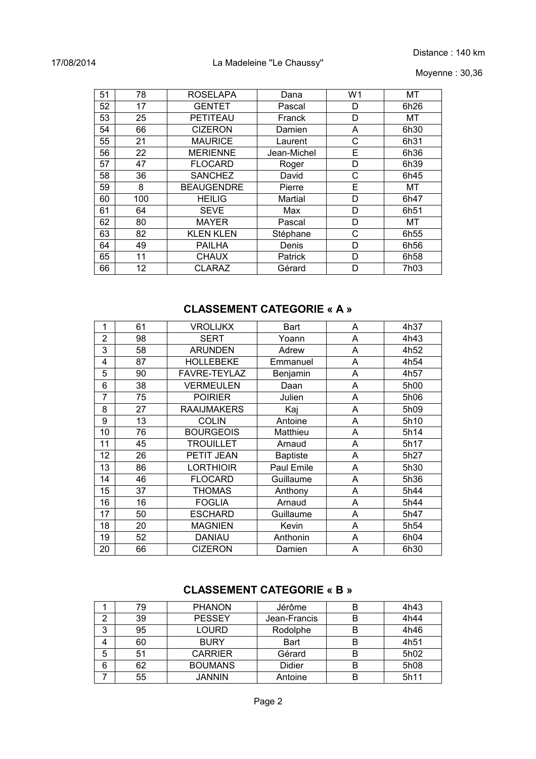#### 17/08/2014 La Madeleine "Le Chaussy"

Moyenne : 30,36

| 51 | 78  | <b>ROSELAPA</b>   | Dana           | W <sub>1</sub> | <b>MT</b>        |
|----|-----|-------------------|----------------|----------------|------------------|
| 52 | 17  | <b>GENTET</b>     | Pascal         | D              | 6h26             |
| 53 | 25  | <b>PETITEAU</b>   | Franck         | D              | MT               |
| 54 | 66  | <b>CIZERON</b>    | Damien         | A              | 6h30             |
| 55 | 21  | <b>MAURICE</b>    | Laurent        | С              | 6h31             |
| 56 | 22  | <b>MERIENNE</b>   | Jean-Michel    | E              | 6h36             |
| 57 | 47  | <b>FLOCARD</b>    | Roger          | D              | 6h39             |
| 58 | 36  | <b>SANCHEZ</b>    | David          | C              | 6h45             |
| 59 | 8   | <b>BEAUGENDRE</b> | Pierre         | E              | MT               |
| 60 | 100 | <b>HEILIG</b>     | Martial        | D              | 6h47             |
| 61 | 64  | <b>SEVE</b>       | Max            | D              | 6h51             |
| 62 | 80  | <b>MAYER</b>      | Pascal         | D              | МT               |
| 63 | 82  | <b>KLEN KLEN</b>  | Stéphane       | C              | 6h <sub>55</sub> |
| 64 | 49  | <b>PAILHA</b>     | Denis          | D              | 6h <sub>56</sub> |
| 65 | 11  | <b>CHAUX</b>      | <b>Patrick</b> | D              | 6h <sub>58</sub> |
| 66 | 12  | <b>CLARAZ</b>     | Gérard         | D              | 7h03             |

# **CLASSEMENT CATEGORIE « A »**

| 1              | 61 | <b>VROLIJKX</b>    | Bart            | A | 4h37 |
|----------------|----|--------------------|-----------------|---|------|
| $\overline{2}$ | 98 | <b>SERT</b>        | Yoann           | A | 4h43 |
| 3              | 58 | <b>ARUNDEN</b>     | Adrew           | A | 4h52 |
| 4              | 87 | <b>HOLLEBEKE</b>   | Emmanuel        | A | 4h54 |
| 5              | 90 | FAVRE-TEYLAZ       | Benjamin        | Α | 4h57 |
| 6              | 38 | <b>VERMEULEN</b>   | Daan            | A | 5h00 |
| 7              | 75 | <b>POIRIER</b>     | Julien          | A | 5h06 |
| 8              | 27 | <b>RAAIJMAKERS</b> | Kaj             | A | 5h09 |
| 9              | 13 | <b>COLIN</b>       | Antoine         | A | 5h10 |
| 10             | 76 | <b>BOURGEOIS</b>   | Matthieu        | A | 5h14 |
| 11             | 45 | <b>TROUILLET</b>   | Arnaud          | A | 5h17 |
| 12             | 26 | PETIT JEAN         | <b>Baptiste</b> | A | 5h27 |
| 13             | 86 | <b>LORTHIOIR</b>   | Paul Emile      | A | 5h30 |
| 14             | 46 | <b>FLOCARD</b>     | Guillaume       | A | 5h36 |
| 15             | 37 | <b>THOMAS</b>      | Anthony         | Α | 5h44 |
| 16             | 16 | <b>FOGLIA</b>      | Arnaud          | A | 5h44 |
| 17             | 50 | <b>ESCHARD</b>     | Guillaume       | A | 5h47 |
| 18             | 20 | <b>MAGNIEN</b>     | Kevin           | Α | 5h54 |
| 19             | 52 | <b>DANIAU</b>      | Anthonin        | Α | 6h04 |
| 20             | 66 | <b>CIZERON</b>     | Damien          | Α | 6h30 |

### **CLASSEMENT CATEGORIE « B »**

|   | 79 | <b>PHANON</b>  | Jérôme       | В | 4h43 |
|---|----|----------------|--------------|---|------|
| 2 | 39 | <b>PESSEY</b>  | Jean-Francis | в | 4h44 |
| 3 | 95 | LOURD          | Rodolphe     | B | 4h46 |
| 4 | 60 | <b>BURY</b>    | Bart         | В | 4h51 |
| 5 | 51 | <b>CARRIER</b> | Gérard       | В | 5h02 |
| 6 | 62 | <b>BOUMANS</b> | Didier       | В | 5h08 |
|   | 55 | <b>JANNIN</b>  | Antoine      | B | 5h11 |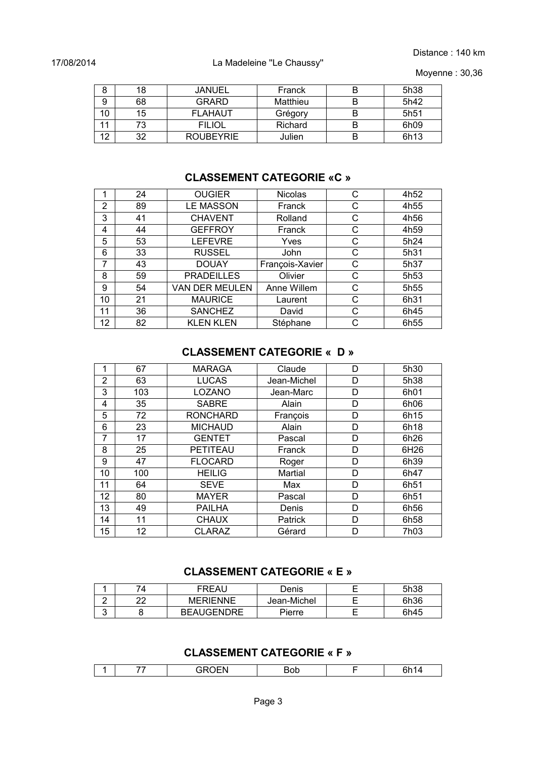Distance : 140 km

Moyenne : 30,36

| 8  | 18 | <b>JANUEL</b>    | Franck   | B | 5h38             |
|----|----|------------------|----------|---|------------------|
| 9  | 68 | <b>GRARD</b>     | Matthieu | B | 5h42             |
| 10 | 15 | <b>FLAHAUT</b>   | Grégory  | B | 5h <sub>51</sub> |
| 11 | 73 | <b>FILIOL</b>    | Richard  | B | 6h09             |
| 12 | 32 | <b>ROUBEYRIE</b> | Julien   | В | 6h13             |

### **CLASSEMENT CATEGORIE «C »**

| 1  | 24 | <b>OUGIER</b>     | <b>Nicolas</b>  | С | 4h52             |
|----|----|-------------------|-----------------|---|------------------|
| 2  | 89 | <b>LE MASSON</b>  | Franck          | С | 4h55             |
| 3  | 41 | <b>CHAVENT</b>    | Rolland         | С | 4h56             |
| 4  | 44 | <b>GEFFROY</b>    | Franck          | С | 4h59             |
| 5  | 53 | <b>LEFEVRE</b>    | Yves            | С | 5h24             |
| 6  | 33 | <b>RUSSEL</b>     | John            | С | 5h31             |
| 7  | 43 | <b>DOUAY</b>      | François-Xavier | С | 5h37             |
| 8  | 59 | <b>PRADEILLES</b> | Olivier         | С | 5h <sub>53</sub> |
| 9  | 54 | VAN DER MEULEN    | Anne Willem     | С | 5h <sub>55</sub> |
| 10 | 21 | <b>MAURICE</b>    | Laurent         | С | 6h31             |
| 11 | 36 | <b>SANCHEZ</b>    | David           | С | 6h45             |
| 12 | 82 | <b>KLEN KLEN</b>  | Stéphane        | С | 6h <sub>55</sub> |

### **CLASSEMENT CATEGORIE « D »**

| 1              | 67  | <b>MARAGA</b>   | Claude      | D | 5h30             |
|----------------|-----|-----------------|-------------|---|------------------|
| $\overline{2}$ | 63  | <b>LUCAS</b>    | Jean-Michel | D | 5h38             |
| 3              | 103 | LOZANO          | Jean-Marc   | D | 6h01             |
| 4              | 35  | <b>SABRE</b>    | Alain       | D | 6h06             |
| 5              | 72  | <b>RONCHARD</b> | François    | D | 6h15             |
| 6              | 23  | <b>MICHAUD</b>  | Alain       | D | 6h18             |
| 7              | 17  | <b>GENTET</b>   | Pascal      | D | 6h26             |
| 8              | 25  | PETITEAU        | Franck      | D | 6H26             |
| 9              | 47  | <b>FLOCARD</b>  | Roger       | D | 6h39             |
| 10             | 100 | <b>HEILIG</b>   | Martial     | D | 6h47             |
| 11             | 64  | <b>SEVE</b>     | Max         | D | 6h51             |
| 12             | 80  | <b>MAYER</b>    | Pascal      | D | 6h51             |
| 13             | 49  | <b>PAILHA</b>   | Denis       | D | 6h <sub>56</sub> |
| 14             | 11  | <b>CHAUX</b>    | Patrick     | D | 6h <sub>58</sub> |
| 15             | 12  | CLARAZ          | Gérard      | D | 7h03             |

#### **CLASSEMENT CATEGORIE « E »**

|                 | 74 | FREAU             | Denis       | 5h38 |
|-----------------|----|-------------------|-------------|------|
| -               | າາ | <b>MERIENNE</b>   | Jean-Michel | 6h36 |
| $\sqrt{2}$<br>u |    | <b>BEAUGENDRE</b> | Pierre      | 6h45 |

### **CLASSEMENT CATEGORIE « F »**

|  | --- |  |  |
|--|-----|--|--|